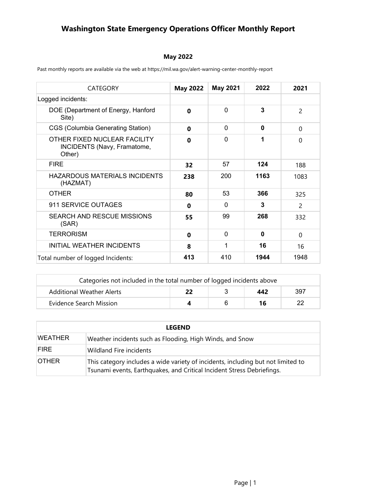### **May 2022**

Past monthly reports are available via the web at https://mil.wa.gov/alert-warning-center-monthly-report

| <b>CATEGORY</b>                                                              | <b>May 2022</b> | <b>May 2021</b> | 2022     | 2021          |
|------------------------------------------------------------------------------|-----------------|-----------------|----------|---------------|
| Logged incidents:                                                            |                 |                 |          |               |
| DOE (Department of Energy, Hanford<br>Site)                                  | 0               | $\Omega$        | 3        | $\mathcal{P}$ |
| <b>CGS (Columbia Generating Station)</b>                                     | 0               | 0               | 0        | 0             |
| OTHER FIXED NUCLEAR FACILITY<br><b>INCIDENTS (Navy, Framatome,</b><br>Other) | 0               | $\mathbf{0}$    | 1        | $\Omega$      |
| <b>FIRE</b>                                                                  | 32              | 57              | 124      | 188           |
| HAZARDOUS MATERIALS INCIDENTS<br>(HAZMAT)                                    | 238             | 200             | 1163     | 1083          |
| <b>OTHER</b>                                                                 | 80              | 53              | 366      | 325           |
| 911 SERVICE OUTAGES                                                          | 0               | $\Omega$        | 3        | $\mathcal{P}$ |
| <b>SEARCH AND RESCUE MISSIONS</b><br>(SAR)                                   | 55              | 99              | 268      | 332           |
| <b>TERRORISM</b>                                                             | 0               | $\Omega$        | $\Omega$ | $\Omega$      |
| <b>INITIAL WEATHER INCIDENTS</b>                                             | 8               | 1               | 16       | 16            |
| Total number of logged Incidents:                                            | 413             | 410             | 1944     | 1948          |

| Categories not included in the total number of logged incidents above |    |  |     |     |  |
|-----------------------------------------------------------------------|----|--|-----|-----|--|
| <b>Additional Weather Alerts</b>                                      | 22 |  | 442 | 397 |  |
| Evidence Search Mission                                               |    |  | 16  |     |  |

| <b>LEGEND</b>  |                                                                                                                                                            |  |  |
|----------------|------------------------------------------------------------------------------------------------------------------------------------------------------------|--|--|
| <b>WEATHER</b> | Weather incidents such as Flooding, High Winds, and Snow                                                                                                   |  |  |
| <b>FIRE</b>    | Wildland Fire incidents                                                                                                                                    |  |  |
| <b>OTHER</b>   | This category includes a wide variety of incidents, including but not limited to<br>Tsunami events, Earthquakes, and Critical Incident Stress Debriefings. |  |  |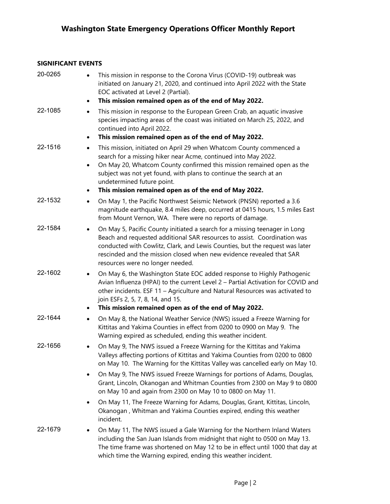### **SIGNIFICANT EVENTS**

| 20-0265 | This mission in response to the Corona Virus (COVID-19) outbreak was<br>$\bullet$<br>initiated on January 21, 2020, and continued into April 2022 with the State<br>EOC activated at Level 2 (Partial).<br>This mission remained open as of the end of May 2022.<br>$\bullet$                                                                                                                                      |
|---------|--------------------------------------------------------------------------------------------------------------------------------------------------------------------------------------------------------------------------------------------------------------------------------------------------------------------------------------------------------------------------------------------------------------------|
| 22-1085 | This mission in response to the European Green Crab, an aquatic invasive<br>$\bullet$<br>species impacting areas of the coast was initiated on March 25, 2022, and<br>continued into April 2022.<br>This mission remained open as of the end of May 2022.<br>$\bullet$                                                                                                                                             |
| 22-1516 | This mission, initiated on April 29 when Whatcom County commenced a<br>$\bullet$<br>search for a missing hiker near Acme, continued into May 2022.<br>On May 20, Whatcom County confirmed this mission remained open as the<br>$\bullet$<br>subject was not yet found, with plans to continue the search at an<br>undetermined future point.<br>This mission remained open as of the end of May 2022.<br>$\bullet$ |
| 22-1532 | On May 1, the Pacific Northwest Seismic Network (PNSN) reported a 3.6<br>$\bullet$<br>magnitude earthquake, 8.4 miles deep, occurred at 0415 hours, 1.5 miles East<br>from Mount Vernon, WA. There were no reports of damage.                                                                                                                                                                                      |
| 22-1584 | On May 5, Pacific County initiated a search for a missing teenager in Long<br>Beach and requested additional SAR resources to assist. Coordination was<br>conducted with Cowlitz, Clark, and Lewis Counties, but the request was later<br>rescinded and the mission closed when new evidence revealed that SAR<br>resources were no longer needed.                                                                 |
| 22-1602 | On May 6, the Washington State EOC added response to Highly Pathogenic<br>$\bullet$<br>Avian Influenza (HPAI) to the current Level 2 - Partial Activation for COVID and<br>other incidents. ESF 11 - Agriculture and Natural Resources was activated to<br>join ESFs 2, 5, 7, 8, 14, and 15.<br>This mission remained open as of the end of May 2022.<br>$\bullet$                                                 |
| 22-1644 | On May 8, the National Weather Service (NWS) issued a Freeze Warning for<br>$\bullet$<br>Kittitas and Yakima Counties in effect from 0200 to 0900 on May 9. The<br>Warning expired as scheduled, ending this weather incident.                                                                                                                                                                                     |
| 22-1656 | On May 9, The NWS issued a Freeze Warning for the Kittitas and Yakima<br>$\bullet$<br>Valleys affecting portions of Kittitas and Yakima Counties from 0200 to 0800<br>on May 10. The Warning for the Kittitas Valley was cancelled early on May 10.                                                                                                                                                                |
|         | On May 9, The NWS issued Freeze Warnings for portions of Adams, Douglas,<br>٠<br>Grant, Lincoln, Okanogan and Whitman Counties from 2300 on May 9 to 0800<br>on May 10 and again from 2300 on May 10 to 0800 on May 11.                                                                                                                                                                                            |
|         | On May 11, The Freeze Warning for Adams, Douglas, Grant, Kittitas, Lincoln,<br>$\bullet$<br>Okanogan, Whitman and Yakima Counties expired, ending this weather<br>incident.                                                                                                                                                                                                                                        |
| 22-1679 | On May 11, The NWS issued a Gale Warning for the Northern Inland Waters<br>$\bullet$<br>including the San Juan Islands from midnight that night to 0500 on May 13.<br>The time frame was shortened on May 12 to be in effect until 1000 that day at<br>which time the Warning expired, ending this weather incident.                                                                                               |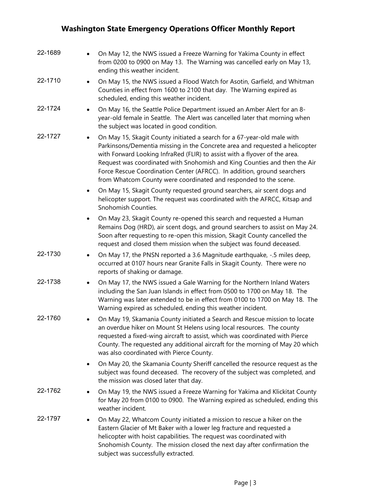| 22-1689 | On May 12, the NWS issued a Freeze Warning for Yakima County in effect<br>from 0200 to 0900 on May 13. The Warning was cancelled early on May 13,<br>ending this weather incident.                                                                                                                                                                                                                                                                               |
|---------|------------------------------------------------------------------------------------------------------------------------------------------------------------------------------------------------------------------------------------------------------------------------------------------------------------------------------------------------------------------------------------------------------------------------------------------------------------------|
| 22-1710 | On May 15, the NWS issued a Flood Watch for Asotin, Garfield, and Whitman<br>Counties in effect from 1600 to 2100 that day. The Warning expired as<br>scheduled, ending this weather incident.                                                                                                                                                                                                                                                                   |
| 22-1724 | On May 16, the Seattle Police Department issued an Amber Alert for an 8-<br>year-old female in Seattle. The Alert was cancelled later that morning when<br>the subject was located in good condition.                                                                                                                                                                                                                                                            |
| 22-1727 | On May 15, Skagit County initiated a search for a 67-year-old male with<br>Parkinsons/Dementia missing in the Concrete area and requested a helicopter<br>with Forward Looking InfraRed (FLIR) to assist with a flyover of the area.<br>Request was coordinated with Snohomish and King Counties and then the Air<br>Force Rescue Coordination Center (AFRCC). In addition, ground searchers<br>from Whatcom County were coordinated and responded to the scene. |
|         | On May 15, Skagit County requested ground searchers, air scent dogs and<br>$\bullet$<br>helicopter support. The request was coordinated with the AFRCC, Kitsap and<br>Snohomish Counties.                                                                                                                                                                                                                                                                        |
|         | On May 23, Skagit County re-opened this search and requested a Human<br>$\bullet$<br>Remains Dog (HRD), air scent dogs, and ground searchers to assist on May 24.<br>Soon after requesting to re-open this mission, Skagit County cancelled the<br>request and closed them mission when the subject was found deceased.                                                                                                                                          |
| 22-1730 | On May 17, the PNSN reported a 3.6 Magnitude earthquake, -. 5 miles deep,<br>occurred at 0107 hours near Granite Falls in Skagit County. There were no<br>reports of shaking or damage.                                                                                                                                                                                                                                                                          |
| 22-1738 | On May 17, the NWS issued a Gale Warning for the Northern Inland Waters<br>including the San Juan Islands in effect from 0500 to 1700 on May 18. The<br>Warning was later extended to be in effect from 0100 to 1700 on May 18. The<br>Warning expired as scheduled, ending this weather incident.                                                                                                                                                               |
| 22-1760 | On May 19, Skamania County initiated a Search and Rescue mission to locate<br>an overdue hiker on Mount St Helens using local resources. The county<br>requested a fixed-wing aircraft to assist, which was coordinated with Pierce<br>County. The requested any additional aircraft for the morning of May 20 which<br>was also coordinated with Pierce County.                                                                                                 |
|         | On May 20, the Skamania County Sheriff cancelled the resource request as the<br>$\bullet$<br>subject was found deceased. The recovery of the subject was completed, and<br>the mission was closed later that day.                                                                                                                                                                                                                                                |
| 22-1762 | On May 19, the NWS issued a Freeze Warning for Yakima and Klickitat County<br>for May 20 from 0100 to 0900. The Warning expired as scheduled, ending this<br>weather incident.                                                                                                                                                                                                                                                                                   |
| 22-1797 | On May 22, Whatcom County initiated a mission to rescue a hiker on the<br>Eastern Glacier of Mt Baker with a lower leg fracture and requested a<br>helicopter with hoist capabilities. The request was coordinated with<br>Snohomish County. The mission closed the next day after confirmation the<br>subject was successfully extracted.                                                                                                                       |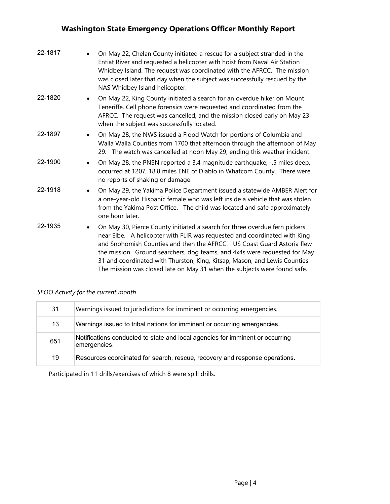| 22-1817 | On May 22, Chelan County initiated a rescue for a subject stranded in the<br>Entiat River and requested a helicopter with hoist from Naval Air Station<br>Whidbey Island. The request was coordinated with the AFRCC. The mission<br>was closed later that day when the subject was successfully rescued by the<br>NAS Whidbey Island helicopter.                                                                                                                        |
|---------|--------------------------------------------------------------------------------------------------------------------------------------------------------------------------------------------------------------------------------------------------------------------------------------------------------------------------------------------------------------------------------------------------------------------------------------------------------------------------|
| 22-1820 | On May 22, King County initiated a search for an overdue hiker on Mount<br>$\bullet$<br>Teneriffe. Cell phone forensics were requested and coordinated from the<br>AFRCC. The request was cancelled, and the mission closed early on May 23<br>when the subject was successfully located.                                                                                                                                                                                |
| 22-1897 | On May 28, the NWS issued a Flood Watch for portions of Columbia and<br>Walla Walla Counties from 1700 that afternoon through the afternoon of May<br>29. The watch was cancelled at noon May 29, ending this weather incident.                                                                                                                                                                                                                                          |
| 22-1900 | On May 28, the PNSN reported a 3.4 magnitude earthquake, -.5 miles deep,<br>occurred at 1207, 18.8 miles ENE of Diablo in Whatcom County. There were<br>no reports of shaking or damage.                                                                                                                                                                                                                                                                                 |
| 22-1918 | On May 29, the Yakima Police Department issued a statewide AMBER Alert for<br>a one-year-old Hispanic female who was left inside a vehicle that was stolen<br>from the Yakima Post Office. The child was located and safe approximately<br>one hour later.                                                                                                                                                                                                               |
| 22-1935 | On May 30, Pierce County initiated a search for three overdue fern pickers<br>near Elbe. A helicopter with FLIR was requested and coordinated with King<br>and Snohomish Counties and then the AFRCC. US Coast Guard Astoria flew<br>the mission. Ground searchers, dog teams, and 4x4s were requested for May<br>31 and coordinated with Thurston, King, Kitsap, Mason, and Lewis Counties.<br>The mission was closed late on May 31 when the subjects were found safe. |

### *SEOO Activity for the current month*

| 31  | Warnings issued to jurisdictions for imminent or occurring emergencies.                       |
|-----|-----------------------------------------------------------------------------------------------|
| 13  | Warnings issued to tribal nations for imminent or occurring emergencies.                      |
| 651 | Notifications conducted to state and local agencies for imminent or occurring<br>emergencies. |
| 19  | Resources coordinated for search, rescue, recovery and response operations.                   |

Participated in 11 drills/exercises of which 8 were spill drills.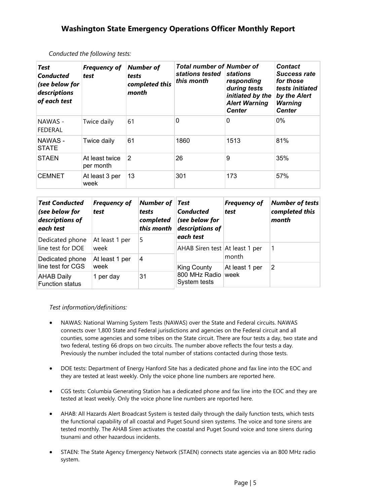| Test<br><b>Conducted</b><br>(see below for<br>descriptions<br>of each test | <b>Frequency of</b><br>test | Number of<br>tests<br>completed this<br>month | <b>Total number of Number of</b><br>stations tested<br>this month | stations<br>responding<br>during tests<br>initiated by the<br><b>Alert Warning</b><br><b>Center</b> | <b>Contact</b><br><b>Success rate</b><br>for those<br>tests initiated<br>by the Alert<br><b>Warning</b><br><b>Center</b> |
|----------------------------------------------------------------------------|-----------------------------|-----------------------------------------------|-------------------------------------------------------------------|-----------------------------------------------------------------------------------------------------|--------------------------------------------------------------------------------------------------------------------------|
| NAWAS -<br><b>FEDERAL</b>                                                  | Twice daily                 | 61                                            | 0                                                                 | 0                                                                                                   | 0%                                                                                                                       |
| NAWAS-<br><b>STATE</b>                                                     | Twice daily                 | 61                                            | 1860                                                              | 1513                                                                                                | 81%                                                                                                                      |
| <b>STAEN</b>                                                               | At least twice<br>per month | 2                                             | 26                                                                | 9                                                                                                   | 35%                                                                                                                      |
| <b>CEMNET</b>                                                              | At least 3 per<br>week      | 13                                            | 301                                                               | 173                                                                                                 | 57%                                                                                                                      |

*Conducted the following tests:*

| <b>Test Conducted</b><br>(see below for<br>descriptions of<br>each test | <b>Frequency of</b><br>test | Number of<br>tests<br>completed<br>this month | Test<br><b>Conducted</b><br>(see below for<br>descriptions of | <b>Frequency of</b><br>test | <b>Number of tests</b><br>completed this<br>month |
|-------------------------------------------------------------------------|-----------------------------|-----------------------------------------------|---------------------------------------------------------------|-----------------------------|---------------------------------------------------|
| Dedicated phone<br>line test for DOE                                    | At least 1 per<br>week      | 5                                             | each test<br>AHAB Siren test At least 1 per                   |                             | 1                                                 |
| Dedicated phone<br>line test for CGS                                    | At least 1 per<br>week      | 4                                             | King County                                                   | month<br>At least 1 per     | 2                                                 |
| <b>AHAB Daily</b><br><b>Function status</b>                             | 1 per day                   | 31                                            | 800 MHz Radio<br>System tests                                 | week                        |                                                   |

#### *Test information/definitions:*

- NAWAS: National Warning System Tests (NAWAS) over the State and Federal circuits. NAWAS connects over 1,800 State and Federal jurisdictions and agencies on the Federal circuit and all counties, some agencies and some tribes on the State circuit. There are four tests a day, two state and two federal, testing 66 drops on two circuits. The number above reflects the four tests a day. Previously the number included the total number of stations contacted during those tests.
- DOE tests: Department of Energy Hanford Site has a dedicated phone and fax line into the EOC and they are tested at least weekly. Only the voice phone line numbers are reported here.
- CGS tests: Columbia Generating Station has a dedicated phone and fax line into the EOC and they are tested at least weekly. Only the voice phone line numbers are reported here.
- AHAB: All Hazards Alert Broadcast System is tested daily through the daily function tests, which tests the functional capability of all coastal and Puget Sound siren systems. The voice and tone sirens are tested monthly. The AHAB Siren activates the coastal and Puget Sound voice and tone sirens during tsunami and other hazardous incidents.
- STAEN: The State Agency Emergency Network (STAEN) connects state agencies via an 800 MHz radio system.